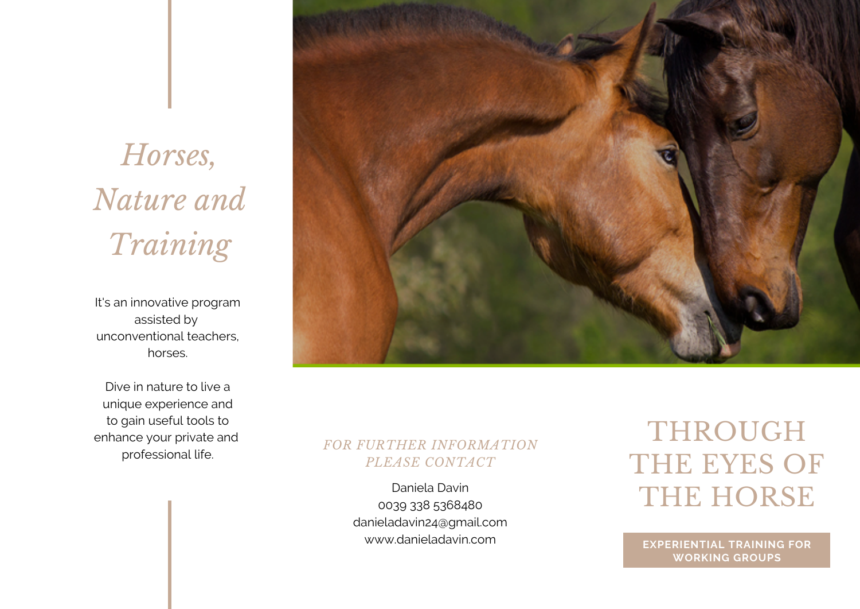# *Horses, Nature and Training*

It's an innovative program assisted by unconventional teachers, horses.

Dive in nature to live a unique experience and to gain useful tools to enhance your private and professional life.



## *FOR FURTHER INFORMATION PLEASE CONTACT*

Daniela Davin 0039 338 5368480 danieladavin24@gmail.com www.danieladavin.com

## THROUGH THE EYES OF THE HORSE

**EXPERIENTIAL TRAINING FOR WORKING GROUPS**